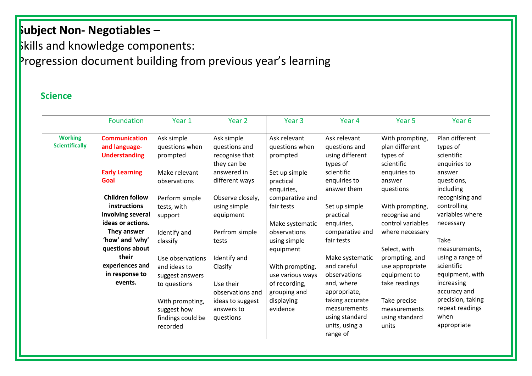### **Skills and knowledge components:**

### Progression document building from previous year's learning

#### **Science**

|                                         | Foundation                                                    | Year 1                                             | Year <sub>2</sub>                                 | Year <sub>3</sub>                                | Year 4                                                       | Year <sub>5</sub>                                                 | Year <sub>6</sub>                                                  |
|-----------------------------------------|---------------------------------------------------------------|----------------------------------------------------|---------------------------------------------------|--------------------------------------------------|--------------------------------------------------------------|-------------------------------------------------------------------|--------------------------------------------------------------------|
| <b>Working</b><br><b>Scientifically</b> | <b>Communication</b><br>and language-<br><b>Understanding</b> | Ask simple<br>questions when<br>prompted           | Ask simple<br>questions and<br>recognise that     | Ask relevant<br>questions when<br>prompted       | Ask relevant<br>questions and<br>using different             | With prompting,<br>plan different<br>types of                     | Plan different<br>types of<br>scientific                           |
|                                         | <b>Early Learning</b><br>Goal                                 | Make relevant<br>observations                      | they can be<br>answered in<br>different ways      | Set up simple<br>practical<br>enquiries,         | types of<br>scientific<br>enquiries to<br>answer them        | scientific<br>enquiries to<br>answer<br>questions                 | enquiries to<br>answer<br>questions,<br>including                  |
|                                         | <b>Children follow</b><br>instructions<br>involving several   | Perform simple<br>tests, with<br>support           | Observe closely,<br>using simple<br>equipment     | comparative and<br>fair tests                    | Set up simple<br>practical                                   | With prompting,<br>recognise and                                  | recognising and<br>controlling<br>variables where                  |
|                                         | ideas or actions.<br>They answer<br>'how' and 'why'           | Identify and<br>classify                           | Perfrom simple<br>tests                           | Make systematic<br>observations<br>using simple  | enquiries,<br>comparative and<br>fair tests                  | control variables<br>where necessary                              | necessary<br>Take                                                  |
|                                         | questions about<br>their<br>experiences and<br>in response to | Use observations<br>and ideas to                   | Identify and<br>Clasify                           | equipment<br>With prompting,<br>use various ways | Make systematic<br>and careful<br>observations               | Select, with<br>prompting, and<br>use appropriate<br>equipment to | measurements,<br>using a range of<br>scientific<br>equipment, with |
|                                         | events.                                                       | suggest answers<br>to questions<br>With prompting, | Use their<br>observations and<br>ideas to suggest | of recording,<br>grouping and<br>displaying      | and, where<br>appropriate,<br>taking accurate                | take readings<br>Take precise                                     | increasing<br>accuracy and<br>precision, taking                    |
|                                         |                                                               | suggest how<br>findings could be<br>recorded       | answers to<br>questions                           | evidence                                         | measurements<br>using standard<br>units, using a<br>range of | measurements<br>using standard<br>units                           | repeat readings<br>when<br>appropriate                             |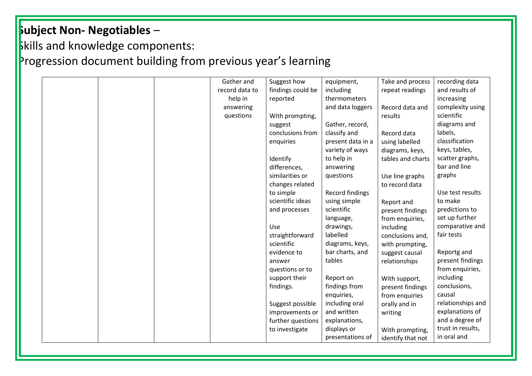### **Skills and knowledge components:**

|  |  | Gather and     | Suggest how       | equipment,        | Take and process  | recording data    |
|--|--|----------------|-------------------|-------------------|-------------------|-------------------|
|  |  | record data to | findings could be | including         | repeat readings   | and results of    |
|  |  | help in        | reported          | thermometers      |                   | increasing        |
|  |  | answering      |                   | and data loggers  | Record data and   | complexity using  |
|  |  | questions      | With prompting,   |                   | results           | scientific        |
|  |  |                | suggest           | Gather, record,   |                   | diagrams and      |
|  |  |                | conclusions from  | classify and      | Record data       | labels,           |
|  |  |                | enquiries         | present data in a | using labelled    | classification    |
|  |  |                |                   | variety of ways   | diagrams, keys,   | keys, tables,     |
|  |  |                | Identify          | to help in        | tables and charts | scatter graphs,   |
|  |  |                | differences,      | answering         |                   | bar and line      |
|  |  |                | similarities or   | questions         | Use line graphs   | graphs            |
|  |  |                | changes related   |                   | to record data    |                   |
|  |  |                | to simple         | Record findings   |                   | Use test results  |
|  |  |                | scientific ideas  | using simple      | Report and        | to make           |
|  |  |                | and processes     | scientific        | present findings  | predictions to    |
|  |  |                |                   | language,         | from enquiries,   | set up further    |
|  |  |                | Use               | drawings,         | including         | comparative and   |
|  |  |                | straightforward   | labelled          | conclusions and,  | fair tests        |
|  |  |                | scientific        | diagrams, keys,   | with prompting,   |                   |
|  |  |                | evidence to       | bar charts, and   | suggest causal    | Reportg and       |
|  |  |                | answer            | tables            | relationships     | present findings  |
|  |  |                | questions or to   |                   |                   | from enquiries,   |
|  |  |                | support their     | Report on         | With support,     | including         |
|  |  |                | findings.         | findings from     | present findings  | conclusions,      |
|  |  |                |                   | enquiries,        | from enquiries    | causal            |
|  |  |                | Suggest possible  | including oral    | orally and in     | relationships and |
|  |  |                | improvements or   | and written       | writing           | explanations of   |
|  |  |                | further questions | explanations,     |                   | and a degree of   |
|  |  |                | to investigate    | displays or       | With prompting,   | trust in results, |
|  |  |                |                   | presentations of  | identify that not | in oral and       |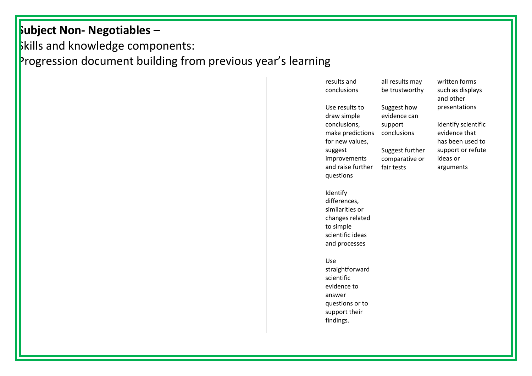### **Skills and knowledge components:** Progression document building from previous year's learning

|  |  |  | results and       | all results may | written forms       |
|--|--|--|-------------------|-----------------|---------------------|
|  |  |  | conclusions       | be trustworthy  | such as displays    |
|  |  |  |                   |                 | and other           |
|  |  |  | Use results to    | Suggest how     | presentations       |
|  |  |  | draw simple       | evidence can    |                     |
|  |  |  | conclusions,      | support         | Identify scientific |
|  |  |  | make predictions  | conclusions     | evidence that       |
|  |  |  | for new values,   |                 | has been used to    |
|  |  |  | suggest           | Suggest further | support or refute   |
|  |  |  | improvements      | comparative or  | ideas or            |
|  |  |  | and raise further | fair tests      | arguments           |
|  |  |  | questions         |                 |                     |
|  |  |  |                   |                 |                     |
|  |  |  | Identify          |                 |                     |
|  |  |  | differences,      |                 |                     |
|  |  |  |                   |                 |                     |
|  |  |  | similarities or   |                 |                     |
|  |  |  | changes related   |                 |                     |
|  |  |  | to simple         |                 |                     |
|  |  |  | scientific ideas  |                 |                     |
|  |  |  | and processes     |                 |                     |
|  |  |  |                   |                 |                     |
|  |  |  | Use               |                 |                     |
|  |  |  | straightforward   |                 |                     |
|  |  |  | scientific        |                 |                     |
|  |  |  | evidence to       |                 |                     |
|  |  |  | answer            |                 |                     |
|  |  |  | questions or to   |                 |                     |
|  |  |  | support their     |                 |                     |
|  |  |  | findings.         |                 |                     |
|  |  |  |                   |                 |                     |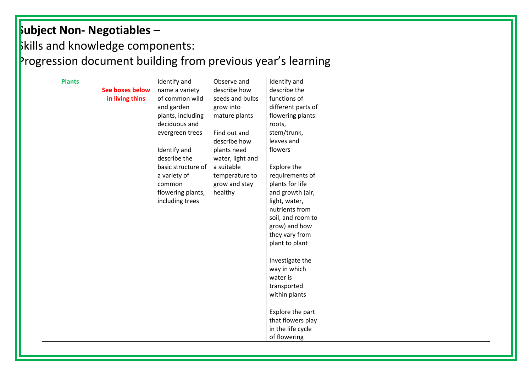**Skills and knowledge components:** 

| <b>Plants</b> |                        | Identify and       | Observe and      | Identify and       |  |  |
|---------------|------------------------|--------------------|------------------|--------------------|--|--|
|               | <b>See boxes below</b> | name a variety     | describe how     | describe the       |  |  |
|               | in living thins        | of common wild     | seeds and bulbs  | functions of       |  |  |
|               |                        | and garden         | grow into        | different parts of |  |  |
|               |                        | plants, including  | mature plants    | flowering plants:  |  |  |
|               |                        | deciduous and      |                  | roots,             |  |  |
|               |                        | evergreen trees    | Find out and     | stem/trunk,        |  |  |
|               |                        |                    | describe how     | leaves and         |  |  |
|               |                        | Identify and       | plants need      | flowers            |  |  |
|               |                        | describe the       | water, light and |                    |  |  |
|               |                        | basic structure of | a suitable       | Explore the        |  |  |
|               |                        | a variety of       | temperature to   | requirements of    |  |  |
|               |                        | common             | grow and stay    | plants for life    |  |  |
|               |                        | flowering plants,  | healthy          | and growth (air,   |  |  |
|               |                        | including trees    |                  | light, water,      |  |  |
|               |                        |                    |                  | nutrients from     |  |  |
|               |                        |                    |                  | soil, and room to  |  |  |
|               |                        |                    |                  | grow) and how      |  |  |
|               |                        |                    |                  | they vary from     |  |  |
|               |                        |                    |                  | plant to plant     |  |  |
|               |                        |                    |                  |                    |  |  |
|               |                        |                    |                  | Investigate the    |  |  |
|               |                        |                    |                  | way in which       |  |  |
|               |                        |                    |                  | water is           |  |  |
|               |                        |                    |                  | transported        |  |  |
|               |                        |                    |                  | within plants      |  |  |
|               |                        |                    |                  |                    |  |  |
|               |                        |                    |                  | Explore the part   |  |  |
|               |                        |                    |                  | that flowers play  |  |  |
|               |                        |                    |                  | in the life cycle  |  |  |
|               |                        |                    |                  | of flowering       |  |  |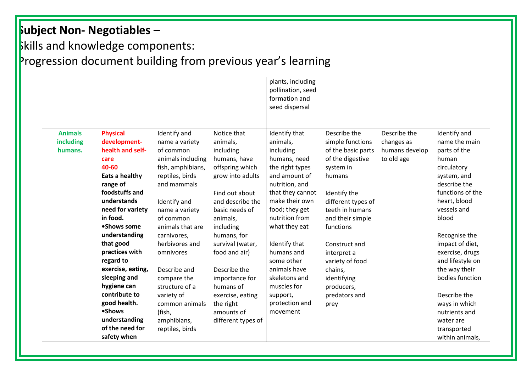### **Skills and knowledge components:**

|                |                   |                   |                    | plants, including<br>pollination, seed<br>formation and<br>seed dispersal |                    |                |                  |
|----------------|-------------------|-------------------|--------------------|---------------------------------------------------------------------------|--------------------|----------------|------------------|
|                |                   |                   |                    |                                                                           |                    |                |                  |
| <b>Animals</b> | <b>Physical</b>   | Identify and      | Notice that        | Identify that                                                             | Describe the       | Describe the   | Identify and     |
| including      | development-      | name a variety    | animals,           | animals,                                                                  | simple functions   | changes as     | name the main    |
| humans.        | health and self-  | of common         | including          | including                                                                 | of the basic parts | humans develop | parts of the     |
|                | care              | animals including | humans, have       | humans, need                                                              | of the digestive   | to old age     | human            |
|                | 40-60             | fish, amphibians, | offspring which    | the right types                                                           | system in          |                | circulatory      |
|                | Eats a healthy    | reptiles, birds   | grow into adults   | and amount of                                                             | humans             |                | system, and      |
|                | range of          | and mammals       |                    | nutrition, and                                                            |                    |                | describe the     |
|                | foodstuffs and    |                   | Find out about     | that they cannot                                                          | Identify the       |                | functions of the |
|                | understands       | Identify and      | and describe the   | make their own                                                            | different types of |                | heart, blood     |
|                | need for variety  | name a variety    | basic needs of     | food; they get                                                            | teeth in humans    |                | vessels and      |
|                | in food.          | of common         | animals,           | nutrition from                                                            | and their simple   |                | blood            |
|                | •Shows some       | animals that are  | including          | what they eat                                                             | functions          |                |                  |
|                | understanding     | carnivores,       | humans, for        |                                                                           |                    |                | Recognise the    |
|                | that good         | herbivores and    | survival (water,   | Identify that                                                             | Construct and      |                | impact of diet,  |
|                | practices with    | omnivores         | food and air)      | humans and                                                                | interpret a        |                | exercise, drugs  |
|                | regard to         |                   |                    | some other                                                                | variety of food    |                | and lifestyle on |
|                | exercise, eating, | Describe and      | Describe the       | animals have                                                              | chains,            |                | the way their    |
|                | sleeping and      | compare the       | importance for     | skeletons and                                                             | identifying        |                | bodies function  |
|                | hygiene can       | structure of a    | humans of          | muscles for                                                               | producers,         |                |                  |
|                | contribute to     | variety of        | exercise, eating   | support,                                                                  | predators and      |                | Describe the     |
|                | good health.      | common animals    | the right          | protection and                                                            | prey               |                | ways in which    |
|                | •Shows            | (fish,            | amounts of         | movement                                                                  |                    |                | nutrients and    |
|                | understanding     | amphibians,       | different types of |                                                                           |                    |                | water are        |
|                | of the need for   | reptiles, birds   |                    |                                                                           |                    |                | transported      |
|                | safety when       |                   |                    |                                                                           |                    |                | within animals,  |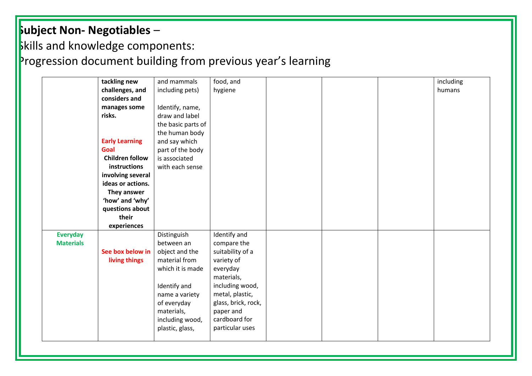Skills and knowledge components:

|                  | tackling new           | and mammals        | food, and           |  | including |
|------------------|------------------------|--------------------|---------------------|--|-----------|
|                  | challenges, and        | including pets)    | hygiene             |  | humans    |
|                  | considers and          |                    |                     |  |           |
|                  | manages some           | Identify, name,    |                     |  |           |
|                  | risks.                 | draw and label     |                     |  |           |
|                  |                        | the basic parts of |                     |  |           |
|                  |                        | the human body     |                     |  |           |
|                  | <b>Early Learning</b>  | and say which      |                     |  |           |
|                  | Goal                   | part of the body   |                     |  |           |
|                  | <b>Children follow</b> | is associated      |                     |  |           |
|                  | instructions           | with each sense    |                     |  |           |
|                  | involving several      |                    |                     |  |           |
|                  | ideas or actions.      |                    |                     |  |           |
|                  | They answer            |                    |                     |  |           |
|                  | 'how' and 'why'        |                    |                     |  |           |
|                  | questions about        |                    |                     |  |           |
|                  | their                  |                    |                     |  |           |
|                  | experiences            |                    |                     |  |           |
| <b>Everyday</b>  |                        | Distinguish        | Identify and        |  |           |
| <b>Materials</b> |                        | between an         | compare the         |  |           |
|                  | See box below in       | object and the     | suitability of a    |  |           |
|                  | living things          | material from      | variety of          |  |           |
|                  |                        | which it is made   | everyday            |  |           |
|                  |                        |                    | materials,          |  |           |
|                  |                        | Identify and       | including wood,     |  |           |
|                  |                        | name a variety     | metal, plastic,     |  |           |
|                  |                        | of everyday        | glass, brick, rock, |  |           |
|                  |                        | materials,         | paper and           |  |           |
|                  |                        | including wood,    | cardboard for       |  |           |
|                  |                        | plastic, glass,    | particular uses     |  |           |
|                  |                        |                    |                     |  |           |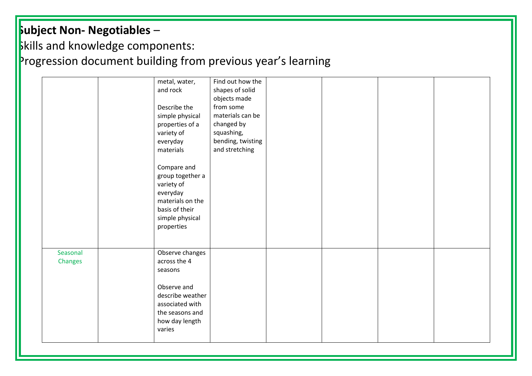**Skills and knowledge components:** 

|                     | Find out how the<br>metal, water,<br>and rock<br>shapes of solid<br>objects made<br>from some<br>Describe the<br>materials can be<br>simple physical<br>changed by<br>properties of a<br>variety of<br>squashing,<br>bending, twisting<br>everyday<br>and stretching<br>materials<br>Compare and<br>group together a<br>variety of<br>everyday<br>materials on the<br>basis of their<br>simple physical<br>properties |
|---------------------|-----------------------------------------------------------------------------------------------------------------------------------------------------------------------------------------------------------------------------------------------------------------------------------------------------------------------------------------------------------------------------------------------------------------------|
| Seasonal<br>Changes | Observe changes<br>across the 4<br>seasons<br>Observe and<br>describe weather<br>associated with<br>the seasons and<br>how day length<br>varies                                                                                                                                                                                                                                                                       |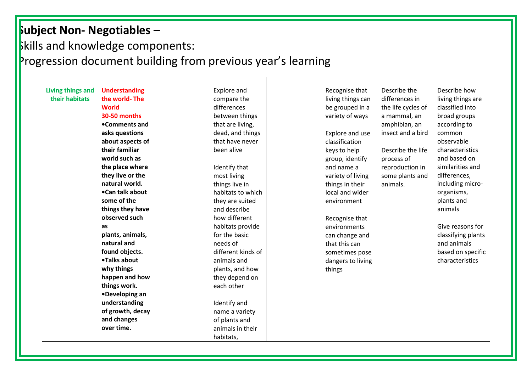**Skills and knowledge components:** 

| <b>Living things and</b> | <b>Understanding</b> | Explore and        | Recognise that    | Describe the       | Describe how       |
|--------------------------|----------------------|--------------------|-------------------|--------------------|--------------------|
| their habitats           | the world-The        | compare the        | living things can | differences in     | living things are  |
|                          | <b>World</b>         | differences        | be grouped in a   | the life cycles of | classified into    |
|                          | 30-50 months         | between things     | variety of ways   | a mammal, an       | broad groups       |
|                          | •Comments and        | that are living,   |                   | amphibian, an      | according to       |
|                          | asks questions       | dead, and things   | Explore and use   | insect and a bird  | common             |
|                          | about aspects of     | that have never    | classification    |                    | observable         |
|                          | their familiar       | been alive         | keys to help      | Describe the life  | characteristics    |
|                          | world such as        |                    | group, identify   | process of         | and based on       |
|                          | the place where      | Identify that      | and name a        | reproduction in    | similarities and   |
|                          | they live or the     | most living        | variety of living | some plants and    | differences,       |
|                          | natural world.       | things live in     | things in their   | animals.           | including micro-   |
|                          | •Can talk about      | habitats to which  | local and wider   |                    | organisms,         |
|                          | some of the          | they are suited    | environment       |                    | plants and         |
|                          | things they have     | and describe       |                   |                    | animals            |
|                          | observed such        | how different      | Recognise that    |                    |                    |
|                          | as                   | habitats provide   | environments      |                    | Give reasons for   |
|                          | plants, animals,     | for the basic      | can change and    |                    | classifying plants |
|                          | natural and          | needs of           | that this can     |                    | and animals        |
|                          | found objects.       | different kinds of | sometimes pose    |                    | based on specific  |
|                          | •Talks about         | animals and        | dangers to living |                    | characteristics    |
|                          | why things           | plants, and how    | things            |                    |                    |
|                          | happen and how       | they depend on     |                   |                    |                    |
|                          | things work.         | each other         |                   |                    |                    |
|                          | •Developing an       |                    |                   |                    |                    |
|                          | understanding        | Identify and       |                   |                    |                    |
|                          | of growth, decay     | name a variety     |                   |                    |                    |
|                          | and changes          | of plants and      |                   |                    |                    |
|                          | over time.           | animals in their   |                   |                    |                    |
|                          |                      | habitats,          |                   |                    |                    |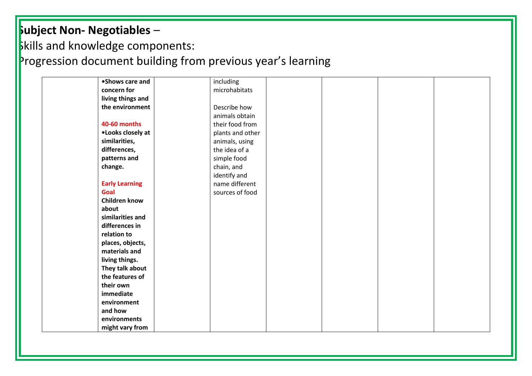### **Subject Non- Negotiables** – **Skills and knowledge components:** Progression document building from previous year's learning

| •Shows care and       | including        |  |  |
|-----------------------|------------------|--|--|
| concern for           | microhabitats    |  |  |
| living things and     |                  |  |  |
| the environment       | Describe how     |  |  |
|                       | animals obtain   |  |  |
| <b>40-60 months</b>   | their food from  |  |  |
| •Looks closely at     | plants and other |  |  |
| similarities,         | animals, using   |  |  |
| differences,          | the idea of a    |  |  |
| patterns and          | simple food      |  |  |
| change.               | chain, and       |  |  |
|                       | identify and     |  |  |
| <b>Early Learning</b> | name different   |  |  |
| Goal                  | sources of food  |  |  |
| <b>Children know</b>  |                  |  |  |
| about                 |                  |  |  |
| similarities and      |                  |  |  |
| differences in        |                  |  |  |
| relation to           |                  |  |  |
| places, objects,      |                  |  |  |
| materials and         |                  |  |  |
| living things.        |                  |  |  |
| They talk about       |                  |  |  |
| the features of       |                  |  |  |
| their own             |                  |  |  |
| immediate             |                  |  |  |
| environment           |                  |  |  |
| and how               |                  |  |  |
| environments          |                  |  |  |
| might vary from       |                  |  |  |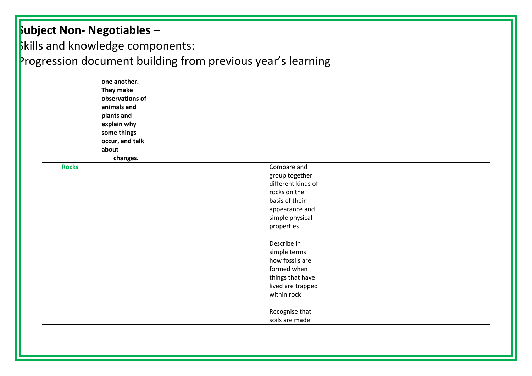## **Skills and knowledge components:**

|              | one another.<br>They make<br>observations of<br>animals and<br>plants and<br>explain why<br>some things<br>occur, and talk<br>about<br>changes. |  |                                                                                                                                                           |  |  |
|--------------|-------------------------------------------------------------------------------------------------------------------------------------------------|--|-----------------------------------------------------------------------------------------------------------------------------------------------------------|--|--|
| <b>Rocks</b> |                                                                                                                                                 |  | Compare and<br>group together<br>different kinds of<br>rocks on the<br>basis of their<br>appearance and<br>simple physical<br>properties                  |  |  |
|              |                                                                                                                                                 |  | Describe in<br>simple terms<br>how fossils are<br>formed when<br>things that have<br>lived are trapped<br>within rock<br>Recognise that<br>soils are made |  |  |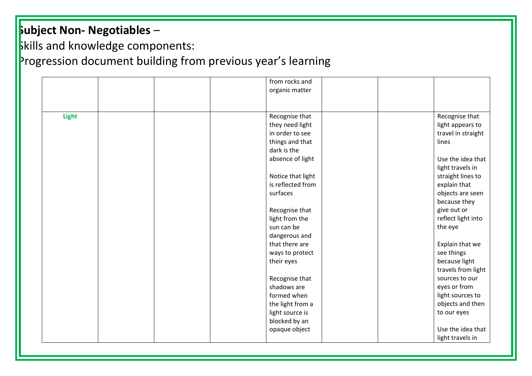**Skills and knowledge components:** 

|              | from rocks and<br>organic matter |                                     |
|--------------|----------------------------------|-------------------------------------|
| <b>Light</b> | Recognise that                   | Recognise that                      |
|              | they need light                  | light appears to                    |
|              | in order to see                  | travel in straight                  |
|              | things and that                  | lines                               |
|              | dark is the                      |                                     |
|              | absence of light                 | Use the idea that                   |
|              |                                  | light travels in                    |
|              | Notice that light                | straight lines to                   |
|              | is reflected from                | explain that                        |
|              | surfaces                         | objects are seen                    |
|              |                                  | because they                        |
|              | Recognise that                   | give out or                         |
|              | light from the                   | reflect light into                  |
|              | sun can be                       | the eye                             |
|              | dangerous and                    |                                     |
|              | that there are                   | Explain that we                     |
|              | ways to protect                  | see things                          |
|              | their eyes                       | because light<br>travels from light |
|              | Recognise that                   | sources to our                      |
|              | shadows are                      | eyes or from                        |
|              | formed when                      | light sources to                    |
|              | the light from a                 | objects and then                    |
|              | light source is                  | to our eyes                         |
|              | blocked by an                    |                                     |
|              | opaque object                    | Use the idea that                   |
|              |                                  | light travels in                    |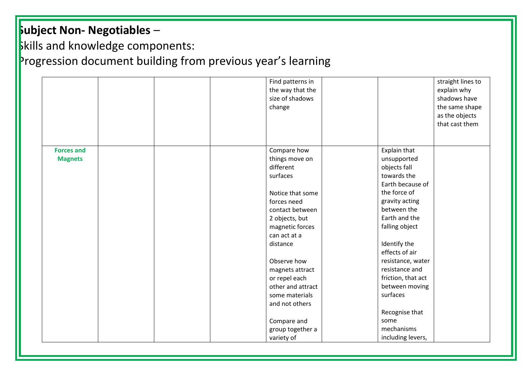**Skills and knowledge components:** 

|                   |  | Find patterns in<br>the way that the<br>size of shadows<br>change |                    | straight lines to<br>explain why<br>shadows have<br>the same shape<br>as the objects<br>that cast them |
|-------------------|--|-------------------------------------------------------------------|--------------------|--------------------------------------------------------------------------------------------------------|
| <b>Forces and</b> |  | Compare how                                                       | Explain that       |                                                                                                        |
| <b>Magnets</b>    |  | things move on                                                    | unsupported        |                                                                                                        |
|                   |  | different                                                         | objects fall       |                                                                                                        |
|                   |  | surfaces                                                          | towards the        |                                                                                                        |
|                   |  |                                                                   | Earth because of   |                                                                                                        |
|                   |  | Notice that some                                                  | the force of       |                                                                                                        |
|                   |  | forces need                                                       | gravity acting     |                                                                                                        |
|                   |  | contact between                                                   | between the        |                                                                                                        |
|                   |  | 2 objects, but                                                    | Earth and the      |                                                                                                        |
|                   |  | magnetic forces                                                   | falling object     |                                                                                                        |
|                   |  | can act at a                                                      |                    |                                                                                                        |
|                   |  | distance                                                          | Identify the       |                                                                                                        |
|                   |  |                                                                   | effects of air     |                                                                                                        |
|                   |  | Observe how                                                       | resistance, water  |                                                                                                        |
|                   |  | magnets attract                                                   | resistance and     |                                                                                                        |
|                   |  | or repel each                                                     | friction, that act |                                                                                                        |
|                   |  | other and attract                                                 | between moving     |                                                                                                        |
|                   |  | some materials                                                    | surfaces           |                                                                                                        |
|                   |  | and not others                                                    |                    |                                                                                                        |
|                   |  |                                                                   | Recognise that     |                                                                                                        |
|                   |  | Compare and                                                       | some               |                                                                                                        |
|                   |  | group together a                                                  | mechanisms         |                                                                                                        |
|                   |  | variety of                                                        | including levers,  |                                                                                                        |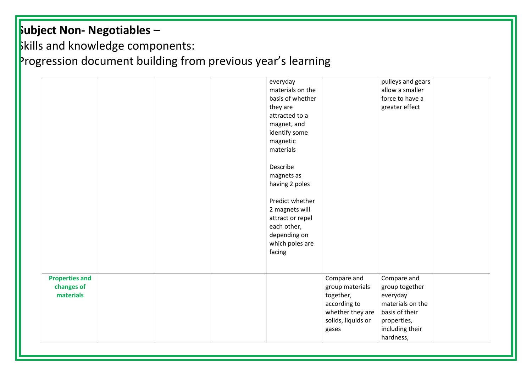### **Skills and knowledge components:** Progression document building from previous year's learning

|                       | everyday         |                    | pulleys and gears |
|-----------------------|------------------|--------------------|-------------------|
|                       | materials on the |                    | allow a smaller   |
|                       | basis of whether |                    | force to have a   |
|                       | they are         |                    | greater effect    |
|                       | attracted to a   |                    |                   |
|                       | magnet, and      |                    |                   |
|                       | identify some    |                    |                   |
|                       | magnetic         |                    |                   |
|                       | materials        |                    |                   |
|                       |                  |                    |                   |
|                       | Describe         |                    |                   |
|                       | magnets as       |                    |                   |
|                       |                  |                    |                   |
|                       | having 2 poles   |                    |                   |
|                       | Predict whether  |                    |                   |
|                       |                  |                    |                   |
|                       | 2 magnets will   |                    |                   |
|                       | attract or repel |                    |                   |
|                       | each other,      |                    |                   |
|                       | depending on     |                    |                   |
|                       | which poles are  |                    |                   |
|                       | facing           |                    |                   |
|                       |                  |                    |                   |
|                       |                  |                    |                   |
| <b>Properties and</b> |                  | Compare and        | Compare and       |
| changes of            |                  | group materials    | group together    |
| materials             |                  | together,          | everyday          |
|                       |                  | according to       | materials on the  |
|                       |                  | whether they are   | basis of their    |
|                       |                  | solids, liquids or | properties,       |
|                       |                  | gases              | including their   |
|                       |                  |                    |                   |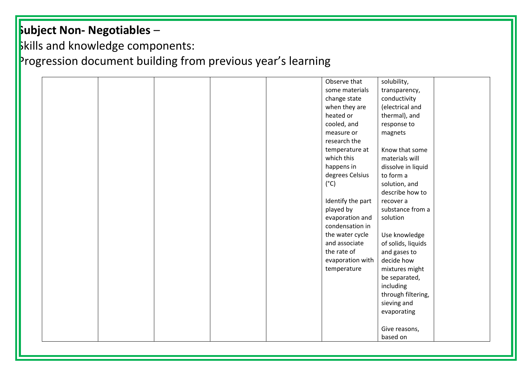### **Skills and knowledge components:** Progression document building from previous year's learning

|  |  | Observe that      | solubility,        |
|--|--|-------------------|--------------------|
|  |  | some materials    | transparency,      |
|  |  | change state      | conductivity       |
|  |  | when they are     | (electrical and    |
|  |  | heated or         | thermal), and      |
|  |  | cooled, and       | response to        |
|  |  | measure or        | magnets            |
|  |  | research the      |                    |
|  |  | temperature at    | Know that some     |
|  |  | which this        | materials will     |
|  |  | happens in        | dissolve in liquid |
|  |  | degrees Celsius   | to form a          |
|  |  | $(^{\circ}C)$     | solution, and      |
|  |  |                   | describe how to    |
|  |  | Identify the part | recover a          |
|  |  | played by         | substance from a   |
|  |  | evaporation and   | solution           |
|  |  | condensation in   |                    |
|  |  | the water cycle   | Use knowledge      |
|  |  | and associate     | of solids, liquids |
|  |  | the rate of       | and gases to       |
|  |  | evaporation with  | decide how         |
|  |  | temperature       | mixtures might     |
|  |  |                   | be separated,      |
|  |  |                   | including          |
|  |  |                   | through filtering, |
|  |  |                   | sieving and        |
|  |  |                   | evaporating        |
|  |  |                   |                    |
|  |  |                   | Give reasons,      |
|  |  |                   | based on           |
|  |  |                   |                    |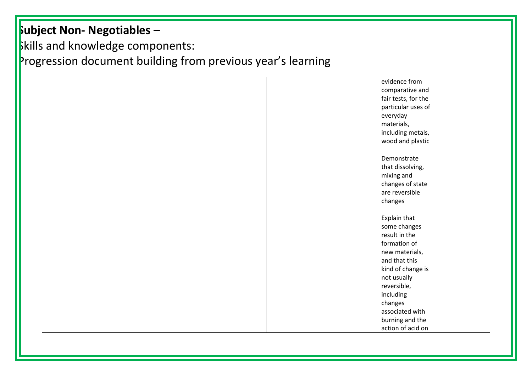**Skills and knowledge components:** 

|  |  |  | evidence from       |  |
|--|--|--|---------------------|--|
|  |  |  | comparative and     |  |
|  |  |  | fair tests, for the |  |
|  |  |  | particular uses of  |  |
|  |  |  | everyday            |  |
|  |  |  | materials,          |  |
|  |  |  | including metals,   |  |
|  |  |  | wood and plastic    |  |
|  |  |  |                     |  |
|  |  |  | Demonstrate         |  |
|  |  |  | that dissolving,    |  |
|  |  |  | mixing and          |  |
|  |  |  | changes of state    |  |
|  |  |  | are reversible      |  |
|  |  |  | changes             |  |
|  |  |  |                     |  |
|  |  |  | Explain that        |  |
|  |  |  | some changes        |  |
|  |  |  | result in the       |  |
|  |  |  | formation of        |  |
|  |  |  | new materials,      |  |
|  |  |  | and that this       |  |
|  |  |  | kind of change is   |  |
|  |  |  | not usually         |  |
|  |  |  | reversible,         |  |
|  |  |  | including           |  |
|  |  |  | changes             |  |
|  |  |  | associated with     |  |
|  |  |  | burning and the     |  |
|  |  |  | action of acid on   |  |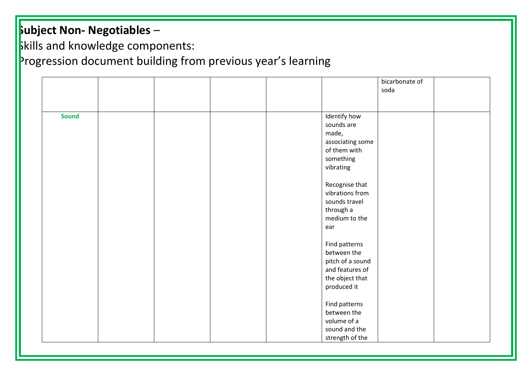**Skills and knowledge components:** 

|              |  |                                                                                                       | bicarbonate of<br>soda |  |
|--------------|--|-------------------------------------------------------------------------------------------------------|------------------------|--|
| <b>Sound</b> |  | Identify how<br>sounds are<br>made,<br>associating some<br>of them with<br>something<br>vibrating     |                        |  |
|              |  | Recognise that<br>vibrations from<br>sounds travel<br>through a<br>medium to the<br>ear               |                        |  |
|              |  | Find patterns<br>between the<br>pitch of a sound<br>and features of<br>the object that<br>produced it |                        |  |
|              |  | Find patterns<br>between the<br>volume of a<br>sound and the<br>strength of the                       |                        |  |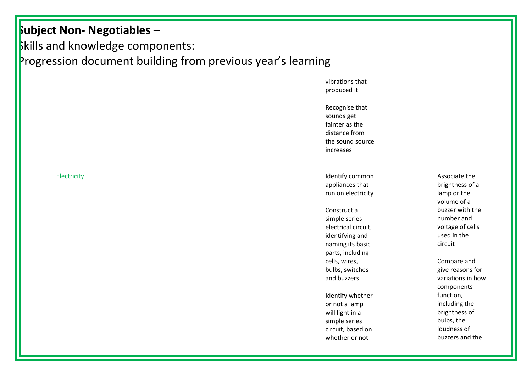**Skills and knowledge components:** 

|             | vibrations that<br>produced it<br>Recognise that<br>sounds get<br>fainter as the<br>distance from<br>the sound source<br>increases |                                                                |
|-------------|------------------------------------------------------------------------------------------------------------------------------------|----------------------------------------------------------------|
| Electricity | Identify common<br>appliances that<br>run on electricity                                                                           | Associate the<br>brightness of a<br>lamp or the<br>volume of a |
|             | Construct a                                                                                                                        | buzzer with the<br>number and                                  |
|             | simple series<br>electrical circuit,                                                                                               | voltage of cells                                               |
|             | identifying and                                                                                                                    | used in the                                                    |
|             | naming its basic<br>parts, including                                                                                               | circuit                                                        |
|             | cells, wires,                                                                                                                      | Compare and                                                    |
|             | bulbs, switches                                                                                                                    | give reasons for                                               |
|             | and buzzers                                                                                                                        | variations in how                                              |
|             |                                                                                                                                    | components                                                     |
|             | Identify whether                                                                                                                   | function,                                                      |
|             | or not a lamp                                                                                                                      | including the                                                  |
|             | will light in a                                                                                                                    | brightness of                                                  |
|             | simple series                                                                                                                      | bulbs, the                                                     |
|             | circuit, based on                                                                                                                  | loudness of                                                    |
|             | whether or not                                                                                                                     | buzzers and the                                                |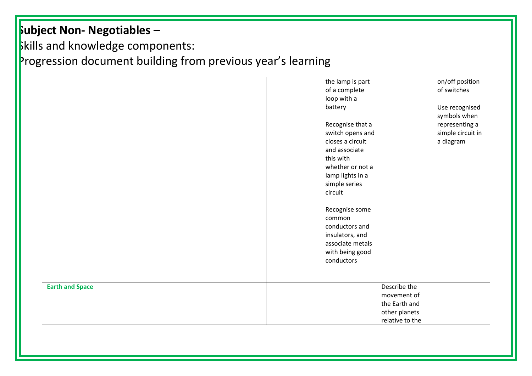# **Skills and knowledge components:**

|                        |  |  | the lamp is part |                 | on/off position   |  |
|------------------------|--|--|------------------|-----------------|-------------------|--|
|                        |  |  | of a complete    |                 | of switches       |  |
|                        |  |  | loop with a      |                 |                   |  |
|                        |  |  | battery          |                 | Use recognised    |  |
|                        |  |  |                  |                 | symbols when      |  |
|                        |  |  | Recognise that a |                 | representing a    |  |
|                        |  |  | switch opens and |                 | simple circuit in |  |
|                        |  |  | closes a circuit |                 | a diagram         |  |
|                        |  |  | and associate    |                 |                   |  |
|                        |  |  | this with        |                 |                   |  |
|                        |  |  | whether or not a |                 |                   |  |
|                        |  |  | lamp lights in a |                 |                   |  |
|                        |  |  | simple series    |                 |                   |  |
|                        |  |  | circuit          |                 |                   |  |
|                        |  |  |                  |                 |                   |  |
|                        |  |  |                  |                 |                   |  |
|                        |  |  | Recognise some   |                 |                   |  |
|                        |  |  | common           |                 |                   |  |
|                        |  |  | conductors and   |                 |                   |  |
|                        |  |  | insulators, and  |                 |                   |  |
|                        |  |  | associate metals |                 |                   |  |
|                        |  |  | with being good  |                 |                   |  |
|                        |  |  | conductors       |                 |                   |  |
|                        |  |  |                  |                 |                   |  |
|                        |  |  |                  |                 |                   |  |
| <b>Earth and Space</b> |  |  |                  | Describe the    |                   |  |
|                        |  |  |                  | movement of     |                   |  |
|                        |  |  |                  | the Earth and   |                   |  |
|                        |  |  |                  | other planets   |                   |  |
|                        |  |  |                  | relative to the |                   |  |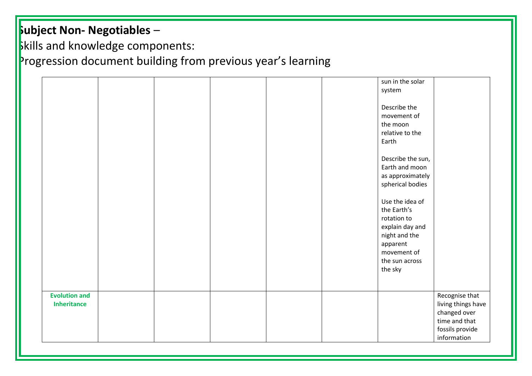**Skills and knowledge components:** 

|                                            |  | sun in the solar<br>system                                                                                                     |                                                                                                         |
|--------------------------------------------|--|--------------------------------------------------------------------------------------------------------------------------------|---------------------------------------------------------------------------------------------------------|
|                                            |  | Describe the<br>movement of<br>the moon<br>relative to the<br>Earth                                                            |                                                                                                         |
|                                            |  | Describe the sun,<br>Earth and moon<br>as approximately<br>spherical bodies                                                    |                                                                                                         |
|                                            |  | Use the idea of<br>the Earth's<br>rotation to<br>explain day and<br>night and the<br>apparent<br>movement of<br>the sun across |                                                                                                         |
|                                            |  | the sky                                                                                                                        |                                                                                                         |
| <b>Evolution and</b><br><b>Inheritance</b> |  |                                                                                                                                | Recognise that<br>living things have<br>changed over<br>time and that<br>fossils provide<br>information |